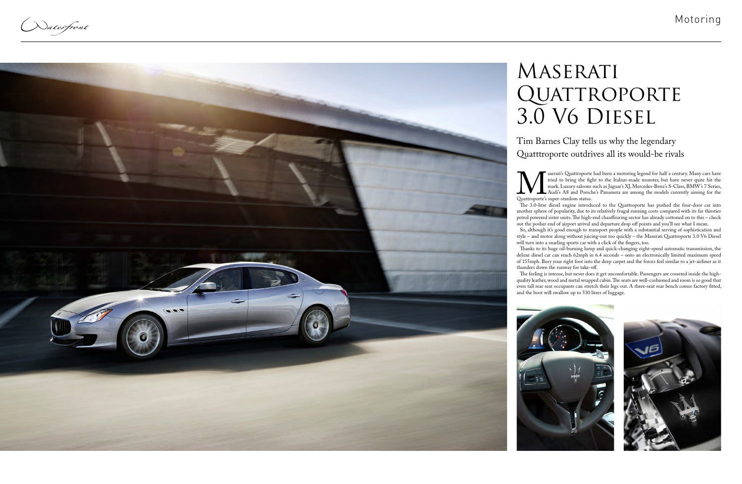Naterfront



Solutional and been a motoring legend for half a century. Many cars have tried to bring the fight to the Italian-made monster, but have never quite hit the mark. Luxury saloons such as Jaguar's XJ, Mercedes-Benz's S-Class, tried to bring the fight to the Italian-made monster, but have never quite hit the mark. Luxury saloons such as Jaguar's XJ, Mercedes-Benz's S-Class, BMW's 7 Series, Audi's A8 and Porsche's Panamera are among the models currently aiming for the Quattroporte's super-stardom status.

The 3.0-litre diesel engine introduced to the Quattroporte has pushed the four-door car into another sphere of popularity, due to its relatively frugal running costs compared with its far thirstier petrol powered sister units. The high-end chauffeuring sector has already cottoned on to this – check out the posher end of airport arrival and departure drop off points and you'll see what I mean.

So, although it's good enough to transport people with a substantial serving of sophistication and style – and motor along without juicing-out too quickly – the Maserati Quattroporte 3.0 V6 Diesel will turn into a snarling sports car with a click of the fingers, too.

## MASERATI QUATTROPORTE 3.0 V6 Diesel

Thanks to its huge oil-burning lump and quick-changing eight-speed automatic transmission, the deluxe diesel car can reach 62mph in 6.4 seconds – onto an electronically limited maximum speed of 155mph. Bury your right foot into the deep carpet and the forces feel similar to a jet-airliner as it thunders down the runway for take-off.

The feeling is intense, but never does it get uncomfortable. Passengers are cosseted inside the highquality leather, wood and metal wrapped cabin. The seats are well-cushioned and room is so good that even tall rear seat occupants can stretch their legs out. A three-seat rear bench comes factory fitted, and the boot will swallow up to 530 litres of luggage.





Tim Barnes Clay tells us why the legendary Quatttroporte outdrives all its would-be rivals